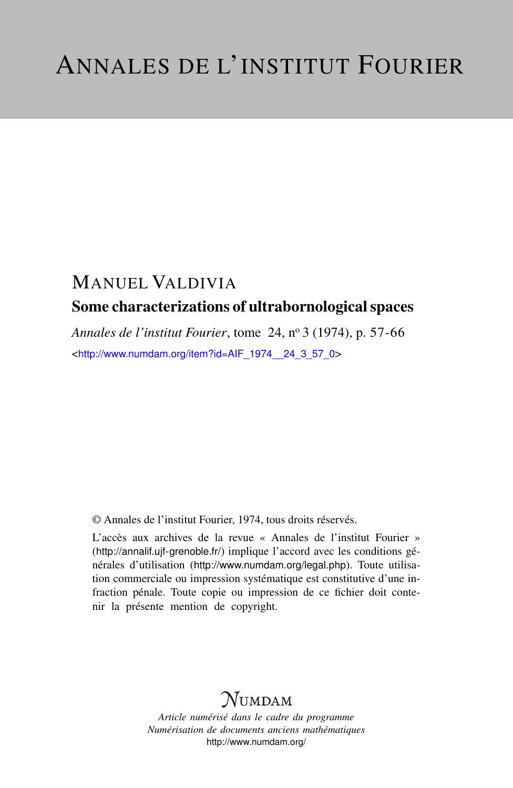# MANUEL VALDIVIA Some characterizations of ultrabornological spaces

*Annales de l'institut Fourier*, tome 24, n<sup>o</sup> 3 (1974), p. 57-66 <[http://www.numdam.org/item?id=AIF\\_1974\\_\\_24\\_3\\_57\\_0](http://www.numdam.org/item?id=AIF_1974__24_3_57_0)>

© Annales de l'institut Fourier, 1974, tous droits réservés.

L'accès aux archives de la revue « Annales de l'institut Fourier » (<http://annalif.ujf-grenoble.fr/>) implique l'accord avec les conditions générales d'utilisation (<http://www.numdam.org/legal.php>). Toute utilisation commerciale ou impression systématique est constitutive d'une infraction pénale. Toute copie ou impression de ce fichier doit contenir la présente mention de copyright.

# NUMDAM

*Article numérisé dans le cadre du programme Numérisation de documents anciens mathématiques* <http://www.numdam.org/>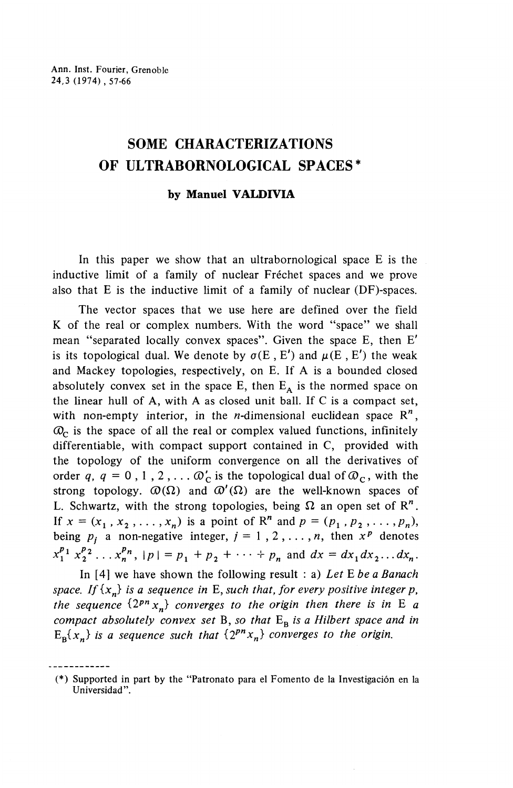## **SOME CHARACTERIZATIONS OF ULTRABORNOLOGICAL SPACES\***

### **by Manuel VALDIVIA**

In this paper we show that an ultrabornological space E is the inductive limit of a family of nuclear Fréchet spaces and we prove also that E is the inductive limit of a family of nuclear (DF)-spaces.

The vector spaces that we use here are defined over the field K of the real or complex numbers. With the word "space" we shall mean "separated locally convex spaces". Given the space E, then *E'* is its topological dual. We denote by  $\sigma(E, E')$  and  $\mu(E, E')$  the weak and Mackey topologies, respectively, on E. If A is a bounded closed absolutely convex set in the space E, then  $E_A$  is the normed space on the linear hull of A, with A as closed unit ball. If C is a compact set, with non-empty interior, in the *n*-dimensional euclidean space  $\mathbb{R}^n$ ,  $Q<sub>c</sub>$  is the space of all the real or complex valued functions, infinitely differentiable, with compact support contained in C, provided with the topology of the uniform convergence on all the derivatives of order q,  $q = 0$ , 1, 2,  $\ldots$   $\mathcal{O}_C$  is the topological dual of  $\mathcal{O}_C$ , with the strong topology.  $\mathcal{D}(\Omega)$  and  $\mathcal{D}'(\Omega)$  are the well-known spaces of L. Schwartz, with the strong topologies, being  $\Omega$  an open set of R<sup>n</sup>. If  $x = (x_1, x_2, ..., x_n)$  is a point of R<sup>n</sup> and  $p = (p_1, p_2, ..., p_n)$ , being  $p_i$  a non-negative integer,  $j = 1, 2, ..., n$ , then  $x^p$  denotes  $x_1^{p_1} x_2^{p_2} ... x_n^{p_n}$ ,  $|p| = p_1 + p_2 + ... + p_n$  and  $dx = dx_1 dx_2...dx_n$ .

In [4] we have shown the following result : a) *Let E be a Banach space, If*  $\{x_n\}$  *is a sequence in* E, *such that, for every positive integer p*, *the sequence*  $\{2^{pn} x_n\}$  *converges to the origin then there is in E a compact absolutely convex set* B, *so that* Eg *is a Hilbert space and in*  $E_{\bf{B}}\{x_n\}$  is a sequence such that  $\{2^{p_n}x_n\}$  converges to the origin.

<sup>(\*)</sup> Supported in part by the "Patronato para el Fomento de la Investigacion en la Universidad".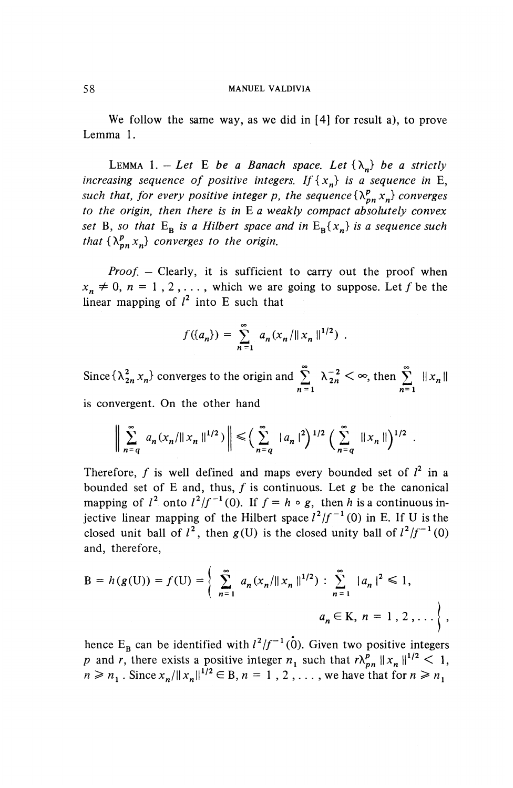We follow the same way, as we did in [4] for result a), to prove Lemma 1.

LEMMA 1. - Let E be a Banach space. Let  $\{\lambda_n\}$  be a strictly *increasing sequence of positive integers. If*  $\{x_n\}$  *is a sequence in* E, *such that, for every positive integer p, the sequence*  $\{\lambda^p_{nn} x_n\}$  *converges to the origin, then there is in* E *a weakly compact absolutely convex set* B, so that  $E_{\bf{B}}$  *is a Hilbert space and in*  $E_{\bf{B}}\{x_{n}\}$  *is a sequence such that*  $\{\lambda_{nn}^p x_n\}$  converges to the origin.

*Proof. —* Clearly, it is sufficient to carry out the proof when  $x_n \neq 0$ ,  $n = 1, 2, \ldots$ , which we are going to suppose. Let *f* be the linear mapping of  $l^2$  into E such that

$$
f({a_n}) = \sum_{n=1}^{\infty} a_n (x_n / ||x_n||^{1/2}) .
$$

Since  $\{\lambda^2_{2n} x_n\}$  converges to the origin and  $\sum_{n=1}^{\infty} \lambda_{2n}^{-2} < \infty$ , then  $\sum_{n=1}^{\infty} ||x_n||$  $n=1$   $n=1$ is convergent. On the other hand  $\left\{\lambda_{2n}^2 x_n\right\}$  converges to the origin and  $\sum_{n=1}^{\infty} \lambda_{2n}^{-2} < \infty$ , then  $\sum_{n=1}^{\infty} ||x||$ <br>vergent. On the other hand<br> $\left\|\sum_{n=q}^{\infty} a_n (x_n/||x_n||^{1/2}) \right\| \leq \left(\sum_{n=q}^{\infty} ||a_n||^2\right)^{1/2} \left(\sum_{n=q}^{\infty} ||x_n||\right)^{1/2}$ .

$$
\bigg\|\sum_{n=q}^{\infty} a_n(x_n/\|x_n\|^{1/2})\bigg\| \leq \bigg(\sum_{n=q}^{\infty} |a_n|^2\bigg)^{1/2} \bigg(\sum_{n=q}^{\infty} \|x_n\|\bigg)^{1/2}
$$

Therefore, f is well defined and maps every bounded set of  $l^2$  in a bounded set of E and, thus,  $f$  is continuous. Let  $g$  be the canonical bounded set of E and, thus, f is continuous. Let g be the canonical mapping of  $l^2$  onto  $l^2/f^{-1}(0)$ . If  $f = h \circ g$ , then h is a continuous injective linear mapping of the Hilbert space  $l^2/f^{-1}(0)$  in E. If U is the closed unit ball of  $l^2$ , then  $g(U)$  is the closed unity ball of  $l^2/f^{-1}(0)$ and, therefore,

$$
B = h(g(U)) = f(U) = \left\{ \sum_{n=1}^{\infty} a_n (x_n / ||x_n||^{1/2}) : \sum_{n=1}^{\infty} |a_n|^2 \le 1, \right\},\
$$
  

$$
a_n \in K, n = 1, 2, ... \right\},
$$

hence E<sub>B</sub> can be identified with  $l^2/f^{-1}$  (0). Given two positive integers *p* and *r*, there exists a positive integer  $n_1$  such that  $r \lambda_{nn}^p ||x_n||^{1/2} < 1$  $n \ge n_1$ . Since  $x_n/||x_n||^{1/2} \in B$ ,  $n = 1, 2, \ldots$ , we have that for  $n \ge n_1$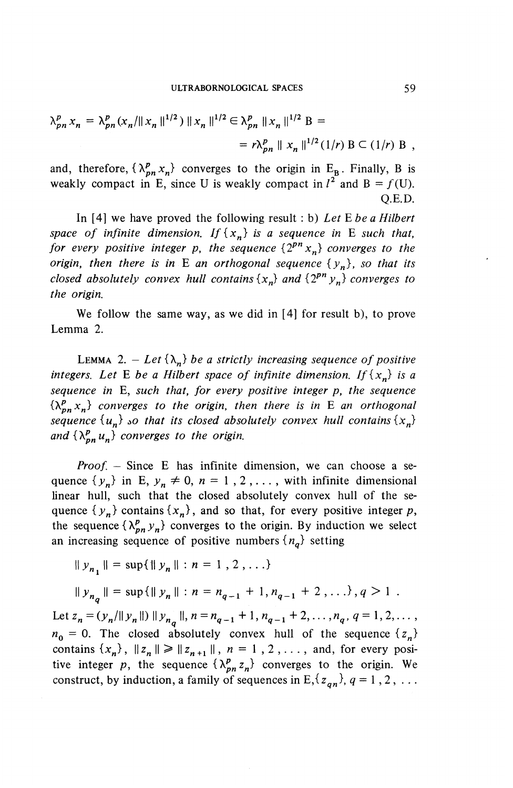ULTRABORNOLOGICAL SPACES 59  
\n
$$
\lambda_{pn}^p x_n = \lambda_{pn}^p (x_n / ||x_n||^{1/2}) ||x_n||^{1/2} \in \lambda_{pn}^p ||x_n||^{1/2} B =
$$
\n
$$
= r \lambda_{pn}^p ||x_n||^{1/2} (1/r) B \subset (1/r) B,
$$

and, therefore,  $\{\lambda^p_{nn} x_n\}$  converges to the origin in E<sub>B</sub>. Finally, B is weakly compact in E, since U is weakly compact in  $l^2$  and B =  $f(U)$ . Q.E.D.

In [4] we have proved the following result : b) *Let* E *be a Hilbert space of infinite dimension. If*  $\{x_n\}$  *is a sequence in* E *such that*, *for every positive integer p, the sequence*  $\{2^{pn} x_n\}$  *converges to the origin, then there is in* E an orthogonal sequence  $\{y_n\}$ , so that its *closed absolutely convex hull contains*  $\{x_n\}$  and  $\{2^{pn} y_n\}$  converges to *the origin.*

We follow the same way, as we did in [4] for result b), to prove Lemma 2.

LEMMA 2. – Let  $\{\lambda_n\}$  be a strictly increasing sequence of positive *integers. Let* E *be a Hilbert space of infinite dimension. If*  $\{x_n\}$  *is a sequence in* E, *such that, for every positive integer p, the sequence*  $\{ \lambda_{n}^{p}$ ,  $x_{n} \}$  converges to the origin, then there is in E an orthogonal *sequence*  $\{u_n\}$  *so that its closed absolutely convex hull contains*  $\{x_n\}$ and  $\{\lambda^p_{nn}u_n\}$  converges to the origin.

*Proof.* – Since E has infinite dimension, we can choose a sequence  $\{y_n\}$  in E,  $y_n \neq 0$ ,  $n = 1, 2, \ldots$ , with infinite dimensional linear hull, such that the closed absolutely convex hull of the sequence  $\{y_n\}$  contains  $\{x_n\}$ , and so that, for every positive integer p, the sequence  $\{\lambda^p_{pn} y_n\}$  converges to the origin. By induction we select an increasing sequence of positive numbers  ${n_a}$  setting

increasing sequence of positive number  

$$
||y_{n_1}|| = \sup{||y_n|| : n = 1, 2, ...}
$$

$$
\|y_{n}\| = \sup\{\|y_n\| : n = n_{q-1} + 1, n_{q-1} + 2, \ldots\}, q > 1.
$$

Let  $z_n=(y_n/\|y_n\|)\|y_n\|$ ,  $n=n_{n-1}+1$ ,  $n_{n-1}+2$ , ...,  $n_n$ ,  $q=1,2,...$  $n_0 = 0$ . The closed absolutely convex hull of the sequence  $\{z_n\}$ contains  $\{x_n\}$ ,  $||z_n|| \ge ||z_{n+1}||$ ,  $n = 1, 2, \ldots$ , and, for every positive integer p, the sequence  $\{\lambda_{pn}^p z_n\}$  converges to the origin. We construct, by induction, a family of sequences in  $E$ ,  $\{z_{an}\}, q = 1, 2, \ldots$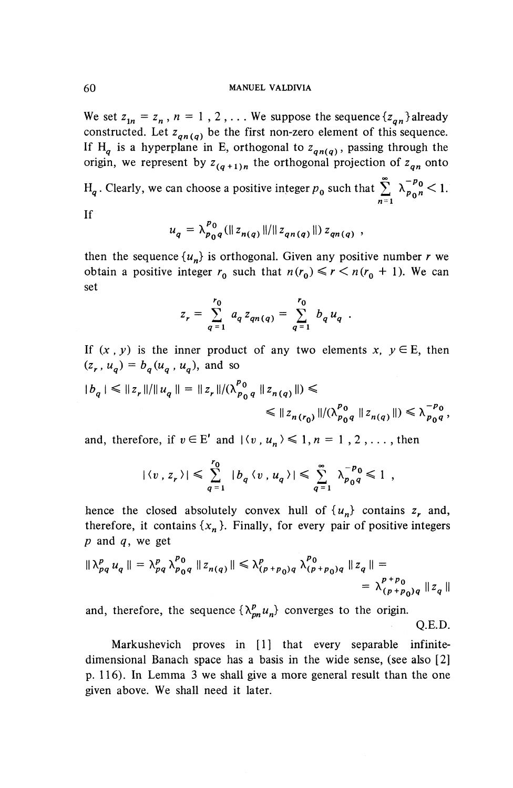We set  $z_{1n} = z_n$ ,  $n = 1$ , 2,... We suppose the sequence  ${z_{an}}$  already constructed. Let  $z_{qn(q)}$  be the first non-zero element of this sequence. If H<sub>a</sub> is a hyperplane in E, orthogonal to  $z_{qn(q)}$ , passing through the origin, we represent by  $z_{(q+1)n}$  the orthogonal projection of  $z_{qn}$  onto

 $H_q$ . Clearly, we can choose a positive integer  $p_0$  such that  $\sum_{p=0}^{\infty} \lambda_{p_0}^{-p_0} < 1$ .  $n=1$ 

If

$$
u_q = \lambda_{p_0q}^{p_0} (\|z_{n(q)}\|/\|z_{qn(q)}\|) z_{qn(q)},
$$

then the sequence  $\{u_n\}$  is orthogonal. Given any positive number *r* we obtain a positive integer  $r_0$  such that  $n(r_0) \le r \le n(r_0 + 1)$ . We can set

$$
z_r = \sum_{q=1}^{r_0} a_q z_{qn(q)} = \sum_{q=1}^{r_0} b_q u_q.
$$

If  $(x, y)$  is the inner product of any two elements  $x, y \in E$ , then  $(z_r, u_q) = b_q(u_q, u_q)$ , and so

$$
|b_q| \leq ||z_r|| / ||u_q|| = ||z_r|| / (\lambda_{p_0 q}^{p_0} ||z_{n(q)}||) \leq \leq ||z_{n(r_0)}|| / (\lambda_{p_0 q}^{p_0} ||z_{n(q)}||) \leq \lambda_{p_0 q}^{-p_0},
$$

and, therefore, if  $v \in E'$  and  $|\langle v, u_n \rangle \leq 1, n = 1, 2, \ldots$ , then

$$
|\langle v \, , z_r \, \rangle| \leqslant \sum_{q=1}^{r_0} |b_q \, \langle v \, , u_q \, \rangle| \leqslant \sum_{q=1}^{\infty} \lambda_{p_0 q}^{-p_0} \leqslant 1 ,
$$

hence the closed absolutely convex hull of  $\{u_n\}$  contains  $z_r$  and, therefore, it contains  $\{x_n\}$ . Finally, for every pair of positive integers *<sup>p</sup>* and *q,* we get

$$
\|\lambda_{pq}^p u_q\| = \lambda_{pq}^p \lambda_{p_0q}^{p_0} \|z_{n(q)}\| \le \lambda_{(p+p_0)q}^p \lambda_{(p+p_0)q}^{p_0} \|z_q\| =
$$
  
= 
$$
\lambda_{(p+p_0)q}^{p+p_0} \|z_q\|
$$

and, therefore, the sequence  $\{\lambda_{pn}^p u_n\}$  converges to the origin. Q.E.D.

Markushevich proves in [1] that every separable infinitedimensional Banach space has a basis in the wide sense, (see also [2] p. 116). In Lemma 3 we shall give a more general result than the one given above. We shall need it later.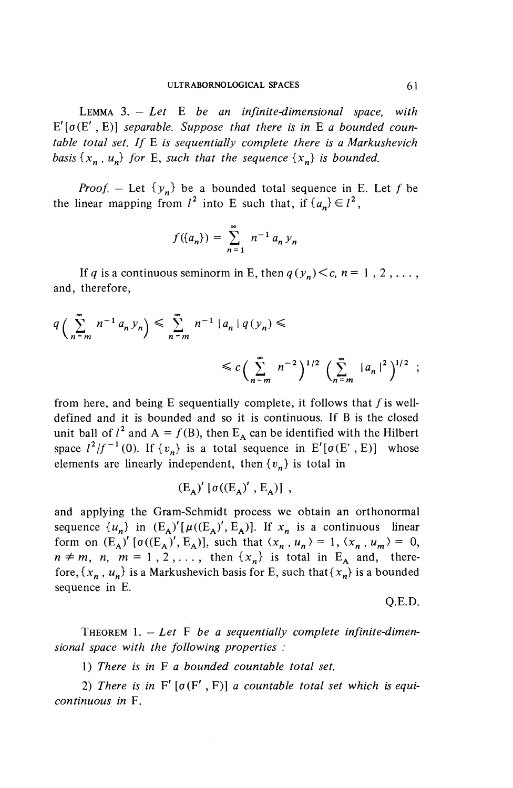LEMMA 3. — *Let* E *be an infinite-dimensional space, with*  $E'[\sigma(E', E)]$  separable. Suppose that there is in E a bounded coun*table total set. If E is sequentially complete there is a Markushevich basis*  $\{x_n, u_n\}$  for E, such that the sequence  $\{x_n\}$  is bounded.

*Proof.* – Let  $\{y_n\}$  be a bounded total sequence in E. Let f be the linear mapping from  $l^2$  into E such that, if  $\{a_n\} \in l^2$ ,

which that the sequence 
$$
\{x_n\}
$$
.

\nbe a bounded total sequum  $l^2$  into E such that, if

\n
$$
f(\{a_n\}) = \sum_{n=1}^{\infty} n^{-1} a_n y_n
$$

If *q* is a continuous seminorm in E, then  $q(y_n) < c$ ,  $n = 1, 2, \ldots$ , and, therefore,

If *q* is a continuous seminorm in E, then 
$$
q(y_n) < c, n = 1, 2, \ldots
$$
,  
and, therefore,  

$$
q\left(\sum_{n=m}^{\infty} n^{-1} a_n y_n\right) \leq \sum_{n=m}^{\infty} n^{-1} |a_n| q(y_n) \leq
$$

$$
\leq c\left(\sum_{n=m}^{\infty} n^{-2}\right)^{1/2} \left(\sum_{n=m}^{\infty} |a_n|^2\right)^{1/2};
$$

from here, and being  $E$  sequentially complete, it follows that  $f$  is welldefined and it is bounded and so it is continuous. If B is the closed unit ball of  $l^2$  and  $A = f(B)$ , then  $E_A$  can be identified with the Hilbert space  $l^2/f^{-1}(0)$ . If  $\{v_n\}$  is a total sequence in E'[ $\sigma$ (E', E)] whose elements are linearly independent, then  $\{v_n\}$  is total in

$$
(\mathbf{E}_{\mathbf{A}})' [\sigma((\mathbf{E}_{\mathbf{A}})' , \mathbf{E}_{\mathbf{A}})],
$$

and applying the Gram-Schmidt process we obtain an orthonormal sequence  $\{u_n\}$  in  $(E_A)'[\mu((E_A)', E_A)]$ . If  $x_n$  is a continuous linear form on  $(E_A)'$  [ $\sigma((E_A)', E_A)$ ], such that  $\langle x_n, u_n \rangle = 1, \langle x_n, u_m \rangle = 0$ ,  $n \neq m$ ,  $n, m = 1, 2, \ldots$ , then  $\{x_n\}$  is total in E<sub>A</sub> and, therefore,  $\{x_n, u_n\}$  is a Markushevich basis for E, such that  $\{x_n\}$  is a bounded sequence in E.

Q.E.D.

THEOREM 1. - Let F be a sequentially complete infinite-dimen*sional space with the following properties :*

1) *There is in* F *a bounded countable total set.*

2) There is in  $F' [\sigma(F', F)]$  a countable total set which is equi*continuous in* F.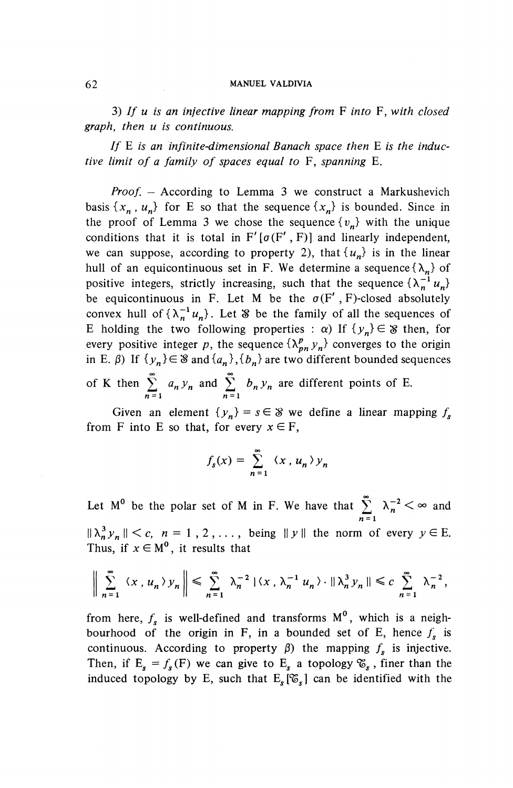3) // *u is an infective linear mapping from* F *into* F, *with closed graph, then u is continuous.*

*If* E *is an infinite-dimensional Banach space then* E *is the inductive limit of a family of spaces equal to* F, *spanning* E.

*Proof. —* According to Lemma 3 we construct a Markushevich basis  $\{x_n, u_n\}$  for E so that the sequence  $\{x_n\}$  is bounded. Since in the proof of Lemma 3 we chose the sequence  $\{v_n\}$  with the unique conditions that it is total in  $F'[\sigma(F', F)]$  and linearly independent, we can suppose, according to property 2), that  $\{u_n\}$  is in the linear hull of an equicontinuous set in F. We determine a sequence  $\{\lambda_n\}$  of positive integers, strictly increasing, such that the sequence  $\{\lambda_n^{-1} u_n\}$ be equicontinuous in F. Let M be the  $\sigma(F', F)$ -closed absolutely convex hull of  $\{\lambda_n^{-1} u_n\}$ . Let § be the family of all the sequences of E holding the two following properties :  $\alpha$ ) If  $\{y_n\} \in \mathcal{S}$  then, for every positive integer p, the sequence  $\{\lambda^p_{nn} y_n\}$  converges to the origin in E.  $\beta$ ) If  $\{y_n\} \in \mathcal{S}$  and  $\{a_n\}$ ,  $\{b_n\}$  are two different bounded sequences

of K then  $\sum_{n=1}^{\infty} a_n y_n$  and  $\sum_{n=1}^{\infty} b_n y_n$  are different points of E.

Given an element  $\{y_n\} = s \in \mathcal{S}$  we define a linear mapping  $f_s$ from F into E so that, for every  $x \in F$ ,

$$
f_s(x) = \sum_{n=1}^{\infty} \langle x, u_n \rangle y_n
$$

Let  $M^0$  be the polar set of M in F. We have that  $\sum_{n=1}^{\infty} \lambda_n^{-2} < \infty$  and  $||\lambda_n^3 y_n|| < c$ ,  $n = 1, 2, \ldots$ , being  $||y||$  the norm of every  $y \in E$ . Thus, if  $x \in M^0$ , it results that Let  $M^0$  be the polar set of M in F. We have that  $\sum_{n=1}^{\infty} \lambda_n^{-2} < \infty$  and  $\lambda_n^3 y_n \parallel < c$ ,  $n = 1, 2, \ldots$ , being  $\|y\|$  the norm of every  $y \in E$ .<br>
Thus, if  $x \in M^0$ , it results that<br>  $\Big\|\sum_{n=1}^{\infty} \langle x, u_n \rangle y_n \Big\| \le \sum$ 

$$
\bigg\|\sum_{n=1}^{\infty}\langle x\,,u_n\rangle\,y_n\bigg\|\leqslant \sum_{n=1}^{\infty}\lambda_n^{-2}\,|\langle x\,,\lambda_n^{-1}\,u_n\rangle\cdot\|\lambda_n^3\,y_n\|\leqslant c\,\sum_{n=1}^{\infty}\lambda_n^{-2},
$$

from here,  $f_s$  is well-defined and transforms  $M^0$ , which is a neighbourhood of the origin in F, in a bounded set of E, hence  $f<sub>s</sub>$  is continuous. According to property  $\beta$ ) the mapping  $f_s$  is injective. Then, if  $E_s = f_s(F)$  we can give to  $E_s$  a topology  $\mathcal{E}_s$ , finer than the induced topology by E, such that  $E_s[\mathfrak{F}_s]$  can be identified with the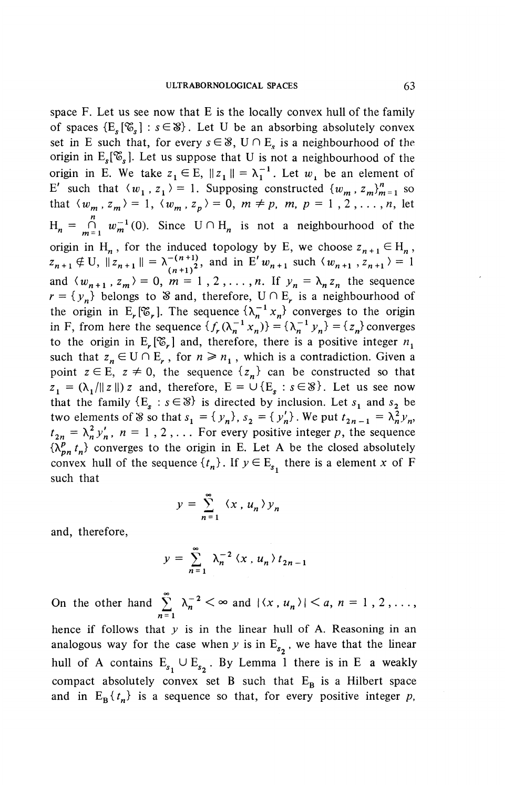space F. Let us see now that E is the locally convex hull of the family of spaces  $\{E_{\varepsilon}[\mathcal{E}_{\varepsilon}] : s \in \mathcal{S}\}\)$ . Let U be an absorbing absolutely convex set in E such that, for every  $s \in \mathcal{S}$ ,  $U \cap E_s$  is a neighbourhood of the origin in  $E_s[\mathfrak{G}_s]$ . Let us suppose that U is not a neighbourhood of the origin in E. We take  $z_1 \in E$ ,  $||z_1|| = \lambda_1^{-1}$ . Let w<sub>r</sub> be an element of *E'* such that  $\langle w_1, z_1 \rangle = 1$ . Supposing constructed  $\{w_m, z_m\}_{m=1}^n$  so that  $\langle w_m, z_m \rangle = 1, \langle w_m, z_p \rangle = 0, m \neq p, m, p = 1, 2, \ldots, n$ , let  $H_n = \bigcap_{m=1}^n w_m^{-1}(0)$ . Since  $U \cap H_n$  is not a neighbourhood of the origin in H<sub>n</sub>, for the induced topology by E, we choose  $z_{n+1} \in H_n$ ,  $z_{n+1} \notin U$ ,  $||z_{n+1}|| = \lambda^{-(n+1)}_{(n+1)^2}$ , and in E'w<sub>n+1</sub> such  $\langle w_{n+1}, z_{n+1} \rangle = 1$ and  $\langle w_{n+1}, z_m \rangle = 0$ ,  $m = 1,2,\ldots,n$ . If  $y_n = \lambda_n z_n$  the sequence  $r = \{y_n\}$  belongs to S and, therefore,  $U \cap E_r$  is a neighbourhood of the origin in E<sub>r</sub><sup>[</sup> $\mathcal{C}_r$ ]. The sequence  $\{\lambda_n^{-1} x_n\}$  converges to the origin in F, from here the sequence  $\{f_r(\lambda_n^{-1} x_n)\} = \{\lambda_n^{-1} y_n\} = \{z_n\}$  converges to the origin in  $E_r[\mathcal{C}_r]$  and, therefore, there is a positive integer  $n_1$ such that  $z_n \in U \cap E_r$ , for  $n \ge n_1$ , which is a contradiction. Given a point  $z \in E$ ,  $z \neq 0$ , the sequence  ${z_n}$  can be constructed so that  $z_1 = (\lambda_1/\Vert z \Vert) z$  and, therefore,  $E = \cup \{E_s : s \in \mathcal{S}\}\)$ . Let us see now that the family  $\{E^s : s \in \mathcal{S}\}$  is directed by inclusion. Let  $s^1$  and  $s^2$  be two elements of S so that  $s_1 = \{y_n\}$ ,  $s_2 = \{y'_n\}$ . We put  $t_{2n-1} = \lambda_n^2 y_n$  $t_{2n} = \lambda_n^2 y_n^{\prime}$ ,  $n = 1, 2, \ldots$  For every positive integer p, the sequence  $\{\lambda^p_{pn} t_n\}$  converges to the origin in E. Let A be the closed absolutely convex hull of the sequence  $\{t_n\}$ . If  $y \in E_{s_1}$  there is a element x of F such that

$$
y = \sum_{n=1}^{\infty} \langle x, u_n \rangle y_n
$$

and, therefore,

$$
y = \sum_{n=1}^{\infty} \lambda_n^{-2} \langle x, u_n \rangle t_{2n-1}
$$

On the other hand  $\sum_{n=1}^{\infty} \lambda_n^{-2} < \infty$  and  $|\langle x, u_n \rangle| < a, n = 1, 2, ...,$ hence if follows that *y* is in the linear hull of A. Reasoning in an analogous way for the case when *y* is in  $E_{s_2}$ , we have that the linear hull of A contains  $E_{s_1} \cup E_{s_2}$ . By Lemma 1 there is in E a weakly compact absolutely convex set B such that  $E_B$  is a Hilbert space and in  $E_{\rm B}^{\{t_n\}}$  is a sequence so that, for every positive integer p,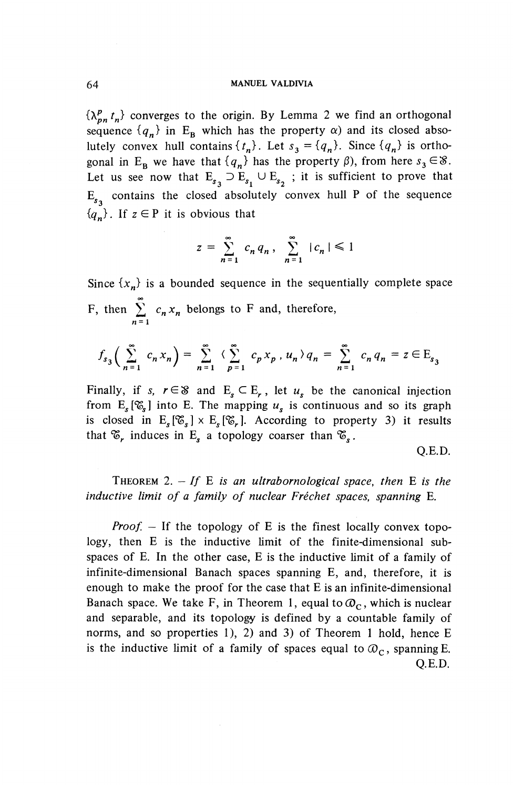$\{\lambda_{pn}^p t_n\}$  converges to the origin. By Lemma 2 we find an orthogonal sequence  ${q_n}$  in E<sub>B</sub> which has the property  $\alpha$ ) and its closed absolutely convex hull contains  $\{t_n\}$ . Let  $s_3 = \{q_n\}$ . Since  $\{q_n\}$  is orthogonal in E<sub>B</sub> we have that  $\{q_n\}$  has the property  $\beta$ ), from here  $s_3 \in \mathcal{S}$ . Let us see now that  $E_{s_3} \supset E_{s_1} \cup E_{s_2}$ ; it is sufficient to prove that  $E_{s_2}$  contains the closed absolutely convex hull P of the sequence  ${q_n}$ . If  $z \in P$  it is obvious that

$$
z = \sum_{n=1}^{\infty} c_n q_n, \sum_{n=1}^{\infty} |c_n| \leq 1
$$

Since  $\{x_n\}$  is a bounded sequence in the sequentially complete space F, then  $\sum^{\infty} c_n x_n$  belongs to F and, therefore,  $\sum_{n=1}$ 

$$
f_{s_3}\left(\sum_{n=1}^{\infty} c_n x_n\right) = \sum_{n=1}^{\infty} \left(\sum_{p=1}^{\infty} c_p x_p, u_n\right) q_n = \sum_{n=1}^{\infty} c_n q_n = z \in E_{s_3}
$$

Finally, if *s*,  $r \in \mathcal{S}$  and  $E^{\ }_{s} \subset E^{\ }_{r}$ , let  $u^{\ }_{s}$  be the canonical injection from  $E_s[\mathcal{E}_s]$  into E. The mapping  $u_s$  is continuous and so its graph is closed in  $E_{s}[\mathcal{C}_{s}] \times E_{s}[\mathcal{C}_{r}].$  According to property 3) it results that  $\mathscr{E}_r$  induces in E<sub>s</sub> a topology coarser than  $\mathscr{E}_s$ .

Q.E.D.

THEOREM 2. *- If E is an ultrabornological space, then* E *is the inductive limit of a family of nuclear Frechet spaces, spanning* E.

*Proof.* – If the topology of E is the finest locally convex topology, then E is the inductive limit of the finite-dimensional subspaces of E. In the other case, E is the inductive limit of a family of infinite-dimensional Banach spaces spanning E, and, therefore, it is enough to make the proof for the case that E is an infinite-dimensional Banach space. We take F, in Theorem 1, equal to  $\mathcal{O}_C$ , which is nuclear and separable, and its topology is defined by a countable family of norms, and so properties 1), 2) and 3) of Theorem 1 hold, hence E is the inductive limit of a family of spaces equal to  $\mathcal{O}_C$ , spanning E. Q.E.D.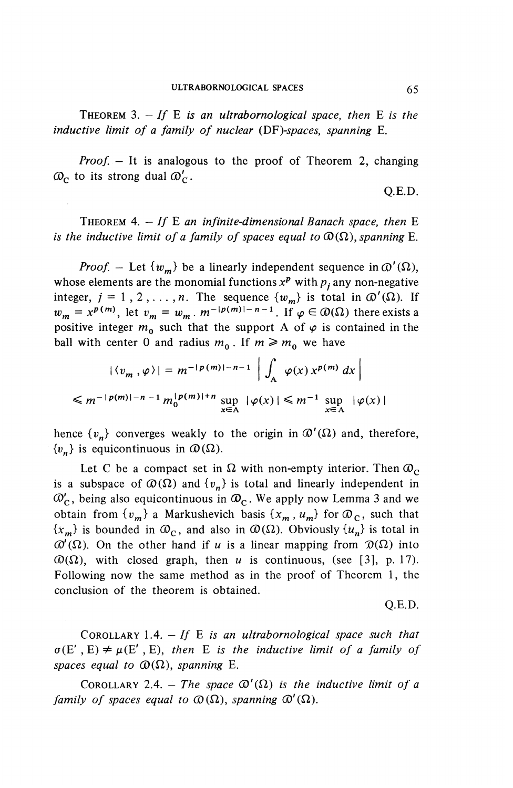THEOREM  $3. - If E$  is an ultrabornological space, then  $E$  is the *inductive limit of a family of nuclear (DP)-spaces, spanning* E.

*Proof. —* It is analogous to the proof of Theorem 2, changing  $\mathcal{Q}_C$  to its strong dual  $\mathcal{Q}_C'$ .

Q.E.D.

THEOREM  $4. - If E$  an infinite-dimensional Banach space, then  $E$ *is the inductive limit of a family of spaces equal to*  $\mathcal{O}(\Omega)$ , *spanning* E.

*Proof.* – Let  $\{w_m\}$  be a linearly independent sequence in  $\mathcal{O}'(\Omega)$ , whose elements are the monomial functions  $x^p$  with  $p_i$  any non-negative integer,  $j = 1, 2, ..., n$ . The sequence  ${w_m}$  is total in  $\mathcal{D}'(\Omega)$ . If  $w_m = x^{p(m)}$ , let  $v_m = w_m$ .  $m^{-|p(m)|-n-1}$ . If  $\varphi \in \mathcal{D}(\Omega)$  there exists a positive integer  $m^0$  such that the support A of  $\varphi$  is contained in the ball with center 0 and radius  $m_0$ . If  $m \ge m_0$  we have

$$
|\langle v_m, \varphi \rangle| = m^{-|p(m)| - n - 1} \left| \int_A \varphi(x) x^{p(m)} dx \right|
$$
  

$$
\leq m^{-|p(m)| - n - 1} m_0^{|p(m)| + n} \sup_{x \in A} |\varphi(x)| \leq m^{-1} \sup_{x \in A} |\varphi(x)|
$$

hence  $\{v_n\}$  converges weakly to the origin in  $\mathcal{D}'(\Omega)$  and, therefore,  ${v_n}$  is equicontinuous in  $\mathcal{D}(\Omega)$ .

Let C be a compact set in  $\Omega$  with non-empty interior. Then  $\mathcal{D}_C$ is a subspace of  $\mathcal{D}(\Omega)$  and  $\{v_n\}$  is total and linearly independent in  $\mathcal{O}'_{C}$ , being also equicontinuous in  $\mathcal{O}_{C}$ . We apply now Lemma 3 and we obtain from  $\{v_m\}$  a Markushevich basis  $\{x_m, u_m\}$  for  $\mathcal{D}_C$ , such that  ${x<sub>m</sub>}$  is bounded in  $\mathcal{D}_c$ , and also in  $\mathcal{D}(\Omega)$ . Obviously  ${u<sub>n</sub>}$  is total in  $\mathcal{O}'(\Omega)$ . On the other hand if *u* is a linear mapping from  $\mathcal{D}(\Omega)$  into  $\mathcal{O}(\Omega)$ , with closed graph, then *u* is continuous, (see [3], p. 17). Following now the same method as in the proof of Theorem 1, the conclusion of the theorem is obtained.

Q.E.D.

COROLLARY 1.4. *— If E is an ultrabornological space such that*  $\sigma(E', E) \neq \mu(E', E)$ , then *E* is the inductive limit of a family of *spaces equal to*  $\mathcal{D}(\Omega)$ *, spanning* E.

COROLLARY 2.4. - The space  $\mathcal{O}'(\Omega)$  is the inductive limit of a *family of spaces equal to*  $\mathcal{O}(\Omega)$ *, spanning*  $\mathcal{O}'(\Omega)$ *.*